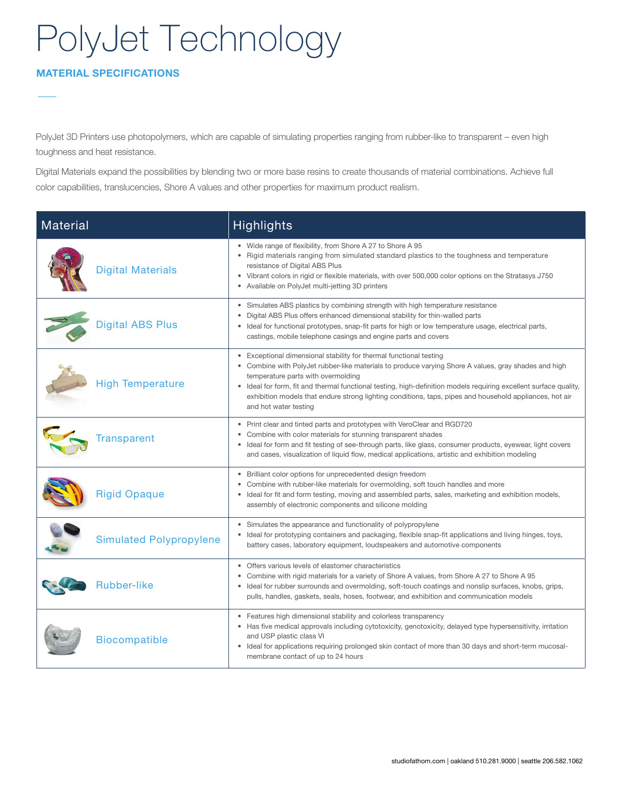### MATERIAL SPECIFICATIONS

PolyJet 3D Printers use photopolymers, which are capable of simulating properties ranging from rubber-like to transparent – even high toughness and heat resistance.

Digital Materials expand the possibilities by blending two or more base resins to create thousands of material combinations. Achieve full color capabilities, translucencies, Shore A values and other properties for maximum product realism.

| Material                       | <b>Highlights</b>                                                                                                                                                                                                                                                                                                                                                                                                                                                       |
|--------------------------------|-------------------------------------------------------------------------------------------------------------------------------------------------------------------------------------------------------------------------------------------------------------------------------------------------------------------------------------------------------------------------------------------------------------------------------------------------------------------------|
| <b>Digital Materials</b>       | • Wide range of flexibility, from Shore A 27 to Shore A 95<br>• Rigid materials ranging from simulated standard plastics to the toughness and temperature<br>resistance of Digital ABS Plus<br>• Vibrant colors in rigid or flexible materials, with over 500,000 color options on the Stratasys J750<br>Available on PolyJet multi-jetting 3D printers<br>$\bullet$                                                                                                    |
| <b>Digital ABS Plus</b>        | • Simulates ABS plastics by combining strength with high temperature resistance<br>• Digital ABS Plus offers enhanced dimensional stability for thin-walled parts<br>Ideal for functional prototypes, snap-fit parts for high or low temperature usage, electrical parts,<br>castings, mobile telephone casings and engine parts and covers                                                                                                                             |
| <b>High Temperature</b>        | Exceptional dimensional stability for thermal functional testing<br>• Combine with PolyJet rubber-like materials to produce varying Shore A values, gray shades and high<br>temperature parts with overmolding<br>• Ideal for form, fit and thermal functional testing, high-definition models requiring excellent surface quality,<br>exhibition models that endure strong lighting conditions, taps, pipes and household appliances, hot air<br>and hot water testing |
| <b>Transparent</b>             | Print clear and tinted parts and prototypes with VeroClear and RGD720<br>Combine with color materials for stunning transparent shades<br>$\bullet$<br>• Ideal for form and fit testing of see-through parts, like glass, consumer products, eyewear, light covers<br>and cases, visualization of liquid flow, medical applications, artistic and exhibition modeling                                                                                                    |
| <b>Rigid Opaque</b>            | • Brilliant color options for unprecedented design freedom<br>Combine with rubber-like materials for overmolding, soft touch handles and more<br>Ideal for fit and form testing, moving and assembled parts, sales, marketing and exhibition models,<br>assembly of electronic components and silicone molding                                                                                                                                                          |
| <b>Simulated Polypropylene</b> | • Simulates the appearance and functionality of polypropylene<br>Ideal for prototyping containers and packaging, flexible snap-fit applications and living hinges, toys,<br>battery cases, laboratory equipment, loudspeakers and automotive components                                                                                                                                                                                                                 |
| <b>Rubber-like</b>             | Offers various levels of elastomer characteristics<br>Combine with rigid materials for a variety of Shore A values, from Shore A 27 to Shore A 95<br>• Ideal for rubber surrounds and overmolding, soft-touch coatings and nonslip surfaces, knobs, grips,<br>pulls, handles, gaskets, seals, hoses, footwear, and exhibition and communication models                                                                                                                  |
| <b>Biocompatible</b>           | • Features high dimensional stability and colorless transparency<br>• Has five medical approvals including cytotoxicity, genotoxicity, delayed type hypersensitivity, irritation<br>and USP plastic class VI<br>• Ideal for applications requiring prolonged skin contact of more than 30 days and short-term mucosal-<br>membrane contact of up to 24 hours                                                                                                            |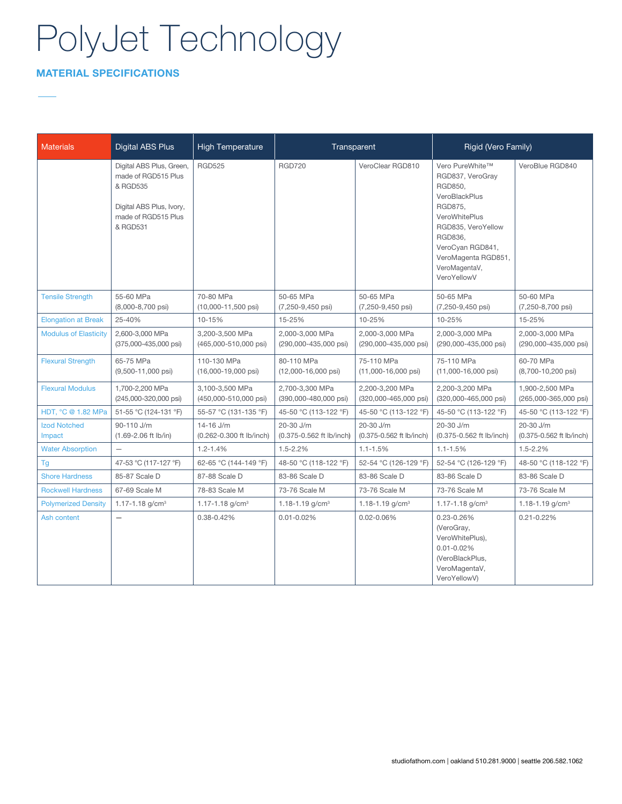### MATERIAL SPECIFICATIONS

| <b>Materials</b>              | <b>Digital ABS Plus</b>                                                                                                    | <b>High Temperature</b>                      | Transparent                                 |                                              | Rigid (Vero Family)                                                                                                                                                                                     |                                              |
|-------------------------------|----------------------------------------------------------------------------------------------------------------------------|----------------------------------------------|---------------------------------------------|----------------------------------------------|---------------------------------------------------------------------------------------------------------------------------------------------------------------------------------------------------------|----------------------------------------------|
|                               | Digital ABS Plus, Green,<br>made of RGD515 Plus<br>& RGD535<br>Digital ABS Plus, Ivory,<br>made of RGD515 Plus<br>& RGD531 | <b>RGD525</b>                                | <b>RGD720</b>                               | VeroClear RGD810                             | Vero PureWhite™<br>RGD837, VeroGray<br>RGD850,<br>VeroBlackPlus<br>RGD875,<br>VeroWhitePlus<br>RGD835, VeroYellow<br>RGD836.<br>VeroCyan RGD841,<br>VeroMagenta RGD851,<br>VeroMagentaV,<br>VeroYellowV | VeroBlue RGD840                              |
| <b>Tensile Strength</b>       | 55-60 MPa<br>$(8,000-8,700 \text{ psi})$                                                                                   | 70-80 MPa<br>$(10,000-11,500 \text{ psi})$   | 50-65 MPa<br>$(7,250-9,450 \text{ psi})$    | 50-65 MPa<br>$(7, 250 - 9, 450 \text{ psi})$ | 50-65 MPa<br>$(7, 250 - 9, 450 \text{ psi})$                                                                                                                                                            | 50-60 MPa<br>$(7, 250 - 8, 700 \text{ psi})$ |
| <b>Elongation at Break</b>    | 25-40%                                                                                                                     | 10-15%                                       | 15-25%                                      | 10-25%                                       | 10-25%                                                                                                                                                                                                  | 15-25%                                       |
| <b>Modulus of Elasticity</b>  | 2,600-3,000 MPa<br>(375,000-435,000 psi)                                                                                   | 3,200-3,500 MPa<br>(465,000-510,000 psi)     | 2,000-3,000 MPa<br>(290,000-435,000 psi)    | 2,000-3,000 MPa<br>(290,000-435,000 psi)     | 2,000-3,000 MPa<br>(290,000-435,000 psi)                                                                                                                                                                | 2,000-3,000 MPa<br>(290,000-435,000 psi)     |
| <b>Flexural Strength</b>      | 65-75 MPa<br>(9,500-11,000 psi)                                                                                            | 110-130 MPa<br>$(16,000-19,000 \text{ psi})$ | 80-110 MPa<br>$(12,000-16,000 \text{ psi})$ | 75-110 MPa<br>(11,000-16,000 psi)            | 75-110 MPa<br>$(11,000-16,000 \text{ psi})$                                                                                                                                                             | 60-70 MPa<br>$(8,700-10,200 \text{ psi})$    |
| <b>Flexural Modulus</b>       | 1,700-2,200 MPa<br>(245,000-320,000 psi)                                                                                   | 3,100-3,500 MPa<br>(450,000-510,000 psi)     | 2,700-3,300 MPa<br>(390,000-480,000 psi)    | 2,200-3,200 MPa<br>(320,000-465,000 psi)     | 2,200-3,200 MPa<br>(320,000-465,000 psi)                                                                                                                                                                | 1,900-2,500 MPa<br>(265,000-365,000 psi)     |
| HDT, °C @ 1.82 MPa            | 51-55 °C (124-131 °F)                                                                                                      | 55-57 °C (131-135 °F)                        | 45-50 °C (113-122 °F)                       | 45-50 °C (113-122 °F)                        | 45-50 °C (113-122 °F)                                                                                                                                                                                   | 45-50 °C (113-122 °F)                        |
| <b>Izod Notched</b><br>Impact | 90-110 J/m<br>$(1.69 - 2.06$ ft lb/in)                                                                                     | 14-16 J/m<br>(0.262-0.300 ft lb/inch)        | 20-30 J/m<br>(0.375-0.562 ft lb/inch)       | 20-30 J/m<br>(0.375-0.562 ft lb/inch)        | 20-30 J/m<br>(0.375-0.562 ft lb/inch)                                                                                                                                                                   | 20-30 J/m<br>(0.375-0.562 ft lb/inch)        |
| <b>Water Absorption</b>       | $\overline{\phantom{0}}$                                                                                                   | $1.2 - 1.4%$                                 | $1.5 - 2.2%$                                | $1.1 - 1.5%$                                 | $1.1 - 1.5%$                                                                                                                                                                                            | $1.5 - 2.2%$                                 |
| Tg                            | 47-53 °C (117-127 °F)                                                                                                      | 62-65 °C (144-149 °F)                        | 48-50 °C (118-122 °F)                       | 52-54 °C (126-129 °F)                        | 52-54 °C (126-129 °F)                                                                                                                                                                                   | 48-50 °C (118-122 °F)                        |
| <b>Shore Hardness</b>         | 85-87 Scale D                                                                                                              | 87-88 Scale D                                | 83-86 Scale D                               | 83-86 Scale D                                | 83-86 Scale D                                                                                                                                                                                           | 83-86 Scale D                                |
| <b>Rockwell Hardness</b>      | 67-69 Scale M                                                                                                              | 78-83 Scale M                                | 73-76 Scale M                               | 73-76 Scale M                                | 73-76 Scale M                                                                                                                                                                                           | 73-76 Scale M                                |
| <b>Polymerized Density</b>    | 1.17-1.18 $g/cm3$                                                                                                          | 1.17-1.18 $g/cm3$                            | 1.18-1.19 $g/cm3$                           | 1.18-1.19 $g/cm3$                            | 1.17-1.18 $g/cm3$                                                                                                                                                                                       | 1.18-1.19 $g/cm3$                            |
| Ash content                   | $\equiv$                                                                                                                   | 0.38-0.42%                                   | $0.01 - 0.02\%$                             | $0.02 - 0.06\%$                              | 0.23-0.26%<br>(VeroGray,<br>VeroWhitePlus),<br>$0.01 - 0.02%$<br>(VeroBlackPlus,<br>VeroMagentaV,<br>VeroYellowV)                                                                                       | $0.21 - 0.22%$                               |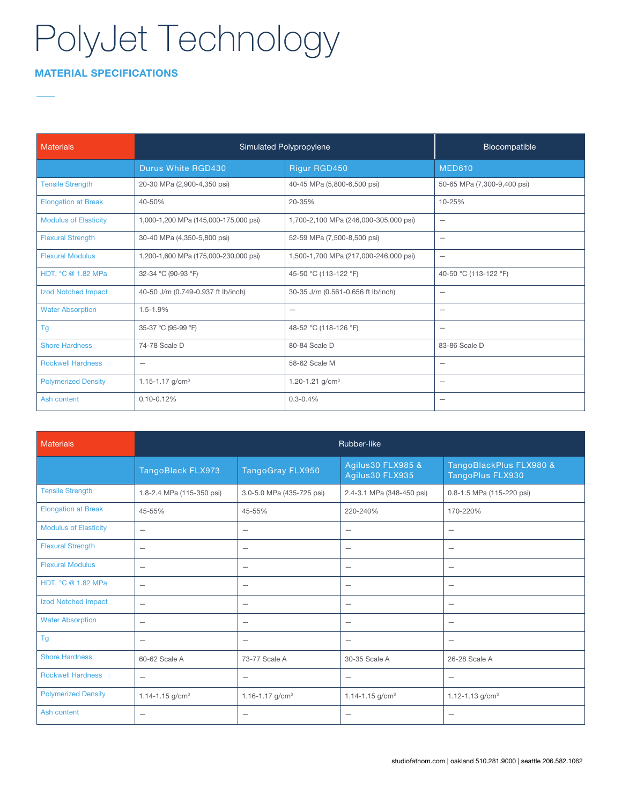### MATERIAL SPECIFICATIONS

| <b>Materials</b>             | Simulated Polypropylene               | Biocompatible                         |                             |
|------------------------------|---------------------------------------|---------------------------------------|-----------------------------|
|                              | Durus White RGD430                    | Rigur RGD450                          | <b>MED610</b>               |
| <b>Tensile Strength</b>      | 20-30 MPa (2,900-4,350 psi)           | 40-45 MPa (5,800-6,500 psi)           | 50-65 MPa (7,300-9,400 psi) |
| <b>Elongation at Break</b>   | 40-50%                                | 20-35%                                | 10-25%                      |
| <b>Modulus of Elasticity</b> | 1,000-1,200 MPa (145,000-175,000 psi) | 1,700-2,100 MPa (246,000-305,000 psi) | $\qquad \qquad -$           |
| <b>Flexural Strength</b>     | 30-40 MPa (4,350-5,800 psi)           | 52-59 MPa (7,500-8,500 psi)           | $\qquad \qquad -$           |
| <b>Flexural Modulus</b>      | 1,200-1,600 MPa (175,000-230,000 psi) | 1,500-1,700 MPa (217,000-246,000 psi) | $\qquad \qquad -$           |
| HDT, °C @ 1.82 MPa           | 32-34 °C (90-93 °F)                   | 45-50 °C (113-122 °F)                 | 40-50 °C (113-122 °F)       |
| Izod Notched Impact          | 40-50 J/m (0.749-0.937 ft lb/inch)    | 30-35 J/m (0.561-0.656 ft lb/inch)    |                             |
| <b>Water Absorption</b>      | $1.5 - 1.9%$                          |                                       | $\qquad \qquad -$           |
| Tg                           | 35-37 °C (95-99 °F)                   | 48-52 °C (118-126 °F)                 | $\qquad \qquad -$           |
| <b>Shore Hardness</b>        | 74-78 Scale D                         | 80-84 Scale D                         | 83-86 Scale D               |
| <b>Rockwell Hardness</b>     | $\overline{\phantom{m}}$              | 58-62 Scale M                         | $\qquad \qquad -$           |
| <b>Polymerized Density</b>   | 1.15-1.17 $g/cm3$                     | 1.20-1.21 $g/cm3$                     | -                           |
| Ash content                  | $0.10 - 0.12%$                        | $0.3 - 0.4%$                          | $\qquad \qquad -$           |

| <b>Materials</b>             | Rubber-like                     |                           |                                      |                                             |
|------------------------------|---------------------------------|---------------------------|--------------------------------------|---------------------------------------------|
|                              | TangoBlack FLX973               | TangoGray FLX950          | Agilus30 FLX985 &<br>Agilus30 FLX935 | TangoBlackPlus FLX980 &<br>TangoPlus FLX930 |
| <b>Tensile Strength</b>      | 1.8-2.4 MPa (115-350 psi)       | 3.0-5.0 MPa (435-725 psi) | 2.4-3.1 MPa (348-450 psi)            | 0.8-1.5 MPa (115-220 psi)                   |
| <b>Elongation at Break</b>   | 45-55%                          | 45-55%                    | 220-240%                             | 170-220%                                    |
| <b>Modulus of Elasticity</b> | $\overline{\phantom{0}}$        | $\overline{\phantom{m}}$  |                                      |                                             |
| <b>Flexural Strength</b>     | $\overbrace{\phantom{1232211}}$ | $\overline{\phantom{m}}$  |                                      | $\qquad \qquad -$                           |
| <b>Flexural Modulus</b>      | $\overbrace{\phantom{1232211}}$ | $\qquad \qquad -$         | $\qquad \qquad -$                    | $\overline{\phantom{0}}$                    |
| HDT, °C @ 1.82 MPa           |                                 | $\overline{\phantom{0}}$  |                                      |                                             |
| <b>Izod Notched Impact</b>   | $\overbrace{\phantom{1232211}}$ | $\overline{\phantom{m}}$  | $\qquad \qquad -$                    | $\overline{\phantom{0}}$                    |
| <b>Water Absorption</b>      | $\overbrace{\phantom{1232211}}$ | $\qquad \qquad -$         | $\qquad \qquad -$                    | $\qquad \qquad -$                           |
| Tg                           | $\overline{\phantom{m}}$        | $\qquad \qquad -$         | $\qquad \qquad -$                    | $\overline{\phantom{0}}$                    |
| <b>Shore Hardness</b>        | 60-62 Scale A                   | 73-77 Scale A             | 30-35 Scale A                        | 26-28 Scale A                               |
| <b>Rockwell Hardness</b>     |                                 | $\overline{\phantom{m}}$  |                                      |                                             |
| <b>Polymerized Density</b>   | 1.14-1.15 $g/cm3$               | 1.16-1.17 $g/cm3$         | 1.14-1.15 $g/cm3$                    | 1.12-1.13 $g/cm3$                           |
| Ash content                  | $\overline{\phantom{0}}$        | $\overline{\phantom{m}}$  | $\qquad \qquad -$                    | $\overline{\phantom{0}}$                    |